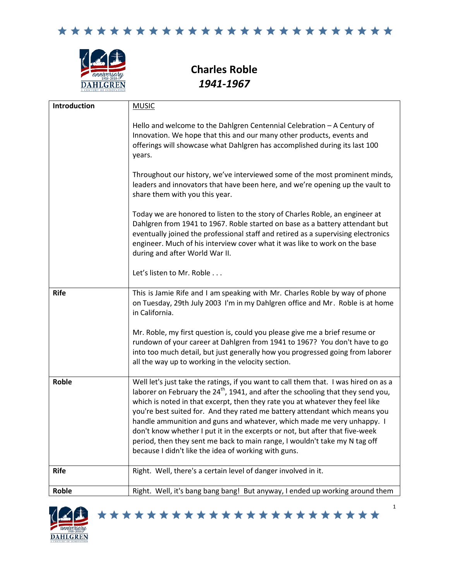

**Charles Roble** *1941-1967*

| Introduction | <b>MUSIC</b>                                                                                                                                                                                                                                                                                                                                                                                                                                                                                                                                                                                                                                         |
|--------------|------------------------------------------------------------------------------------------------------------------------------------------------------------------------------------------------------------------------------------------------------------------------------------------------------------------------------------------------------------------------------------------------------------------------------------------------------------------------------------------------------------------------------------------------------------------------------------------------------------------------------------------------------|
|              | Hello and welcome to the Dahlgren Centennial Celebration - A Century of<br>Innovation. We hope that this and our many other products, events and<br>offerings will showcase what Dahlgren has accomplished during its last 100<br>years.                                                                                                                                                                                                                                                                                                                                                                                                             |
|              | Throughout our history, we've interviewed some of the most prominent minds,<br>leaders and innovators that have been here, and we're opening up the vault to<br>share them with you this year.                                                                                                                                                                                                                                                                                                                                                                                                                                                       |
|              | Today we are honored to listen to the story of Charles Roble, an engineer at<br>Dahlgren from 1941 to 1967. Roble started on base as a battery attendant but<br>eventually joined the professional staff and retired as a supervising electronics<br>engineer. Much of his interview cover what it was like to work on the base<br>during and after World War II.                                                                                                                                                                                                                                                                                    |
|              | Let's listen to Mr. Roble                                                                                                                                                                                                                                                                                                                                                                                                                                                                                                                                                                                                                            |
| <b>Rife</b>  | This is Jamie Rife and I am speaking with Mr. Charles Roble by way of phone<br>on Tuesday, 29th July 2003 I'm in my Dahlgren office and Mr. Roble is at home<br>in California.                                                                                                                                                                                                                                                                                                                                                                                                                                                                       |
|              | Mr. Roble, my first question is, could you please give me a brief resume or<br>rundown of your career at Dahlgren from 1941 to 1967? You don't have to go<br>into too much detail, but just generally how you progressed going from laborer<br>all the way up to working in the velocity section.                                                                                                                                                                                                                                                                                                                                                    |
| <b>Roble</b> | Well let's just take the ratings, if you want to call them that. I was hired on as a<br>laborer on February the 24 <sup>th</sup> , 1941, and after the schooling that they send you,<br>which is noted in that excerpt, then they rate you at whatever they feel like<br>you're best suited for. And they rated me battery attendant which means you<br>handle ammunition and guns and whatever, which made me very unhappy. I<br>don't know whether I put it in the excerpts or not, but after that five-week<br>period, then they sent me back to main range, I wouldn't take my N tag off<br>because I didn't like the idea of working with guns. |
| <b>Rife</b>  | Right. Well, there's a certain level of danger involved in it.                                                                                                                                                                                                                                                                                                                                                                                                                                                                                                                                                                                       |
| Roble        | Right. Well, it's bang bang bang! But anyway, I ended up working around them                                                                                                                                                                                                                                                                                                                                                                                                                                                                                                                                                                         |

\*\*\*\*\*\*\*\*\*\*\*\*\*\*\*\*\*\*\*\*\*\*\*

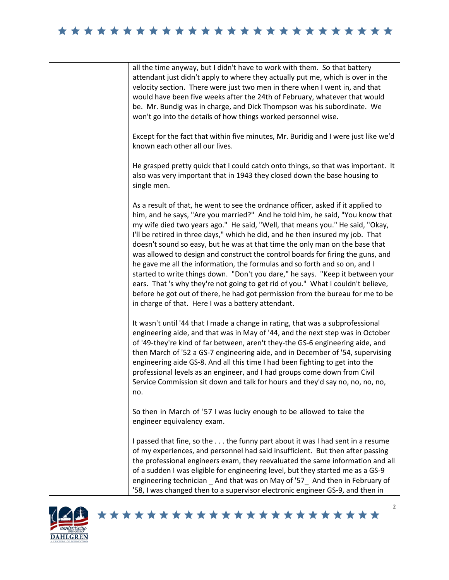## 





## \*\*\*\*\*\*\*\*\*\*\*\*\*\*\*\*\*\*\*\*\*\*\*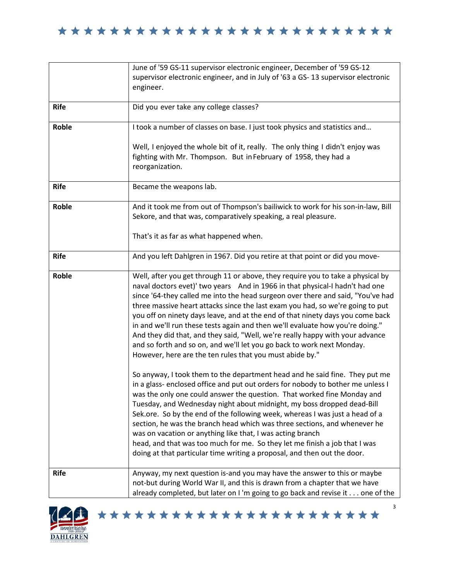

|             | June of '59 GS-11 supervisor electronic engineer, December of '59 GS-12<br>supervisor electronic engineer, and in July of '63 a GS-13 supervisor electronic<br>engineer.                                                                                                                                                                                                                                                                                                                                                                                                                                                                                                                                                       |
|-------------|--------------------------------------------------------------------------------------------------------------------------------------------------------------------------------------------------------------------------------------------------------------------------------------------------------------------------------------------------------------------------------------------------------------------------------------------------------------------------------------------------------------------------------------------------------------------------------------------------------------------------------------------------------------------------------------------------------------------------------|
| <b>Rife</b> | Did you ever take any college classes?                                                                                                                                                                                                                                                                                                                                                                                                                                                                                                                                                                                                                                                                                         |
| Roble       | I took a number of classes on base. I just took physics and statistics and                                                                                                                                                                                                                                                                                                                                                                                                                                                                                                                                                                                                                                                     |
|             | Well, I enjoyed the whole bit of it, really. The only thing I didn't enjoy was<br>fighting with Mr. Thompson. But in February of 1958, they had a<br>reorganization.                                                                                                                                                                                                                                                                                                                                                                                                                                                                                                                                                           |
| <b>Rife</b> | Became the weapons lab.                                                                                                                                                                                                                                                                                                                                                                                                                                                                                                                                                                                                                                                                                                        |
| Roble       | And it took me from out of Thompson's bailiwick to work for his son-in-law, Bill<br>Sekore, and that was, comparatively speaking, a real pleasure.                                                                                                                                                                                                                                                                                                                                                                                                                                                                                                                                                                             |
|             | That's it as far as what happened when.                                                                                                                                                                                                                                                                                                                                                                                                                                                                                                                                                                                                                                                                                        |
| <b>Rife</b> | And you left Dahlgren in 1967. Did you retire at that point or did you move-                                                                                                                                                                                                                                                                                                                                                                                                                                                                                                                                                                                                                                                   |
| Roble       | Well, after you get through 11 or above, they require you to take a physical by<br>naval doctors evet)' two years And in 1966 in that physical-I hadn't had one<br>since '64-they called me into the head surgeon over there and said, "You've had<br>three massive heart attacks since the last exam you had, so we're going to put<br>you off on ninety days leave, and at the end of that ninety days you come back<br>in and we'll run these tests again and then we'll evaluate how you're doing."<br>And they did that, and they said, "Well, we're really happy with your advance<br>and so forth and so on, and we'll let you go back to work next Monday.<br>However, here are the ten rules that you must abide by." |
|             | So anyway, I took them to the department head and he said fine. They put me<br>in a glass- enclosed office and put out orders for nobody to bother me unless I<br>was the only one could answer the question. That worked fine Monday and<br>Tuesday, and Wednesday night about midnight, my boss dropped dead-Bill<br>Sek.ore. So by the end of the following week, whereas I was just a head of a<br>section, he was the branch head which was three sections, and whenever he<br>was on vacation or anything like that, I was acting branch<br>head, and that was too much for me. So they let me finish a job that I was<br>doing at that particular time writing a proposal, and then out the door.                       |
| <b>Rife</b> | Anyway, my next question is-and you may have the answer to this or maybe<br>not-but during World War II, and this is drawn from a chapter that we have<br>already completed, but later on I'm going to go back and revise it one of the                                                                                                                                                                                                                                                                                                                                                                                                                                                                                        |



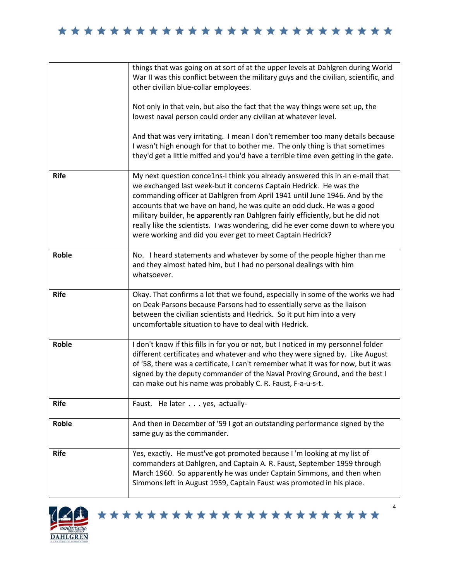|              | things that was going on at sort of at the upper levels at Dahlgren during World<br>War II was this conflict between the military guys and the civilian, scientific, and<br>other civilian blue-collar employees.                                                                                                                                                                                                                                                                                                                               |
|--------------|-------------------------------------------------------------------------------------------------------------------------------------------------------------------------------------------------------------------------------------------------------------------------------------------------------------------------------------------------------------------------------------------------------------------------------------------------------------------------------------------------------------------------------------------------|
|              | Not only in that vein, but also the fact that the way things were set up, the<br>lowest naval person could order any civilian at whatever level.                                                                                                                                                                                                                                                                                                                                                                                                |
|              | And that was very irritating. I mean I don't remember too many details because<br>I wasn't high enough for that to bother me. The only thing is that sometimes<br>they'd get a little miffed and you'd have a terrible time even getting in the gate.                                                                                                                                                                                                                                                                                           |
| <b>Rife</b>  | My next question conce1ns-I think you already answered this in an e-mail that<br>we exchanged last week-but it concerns Captain Hedrick. He was the<br>commanding officer at Dahlgren from April 1941 until June 1946. And by the<br>accounts that we have on hand, he was quite an odd duck. He was a good<br>military builder, he apparently ran Dahlgren fairly efficiently, but he did not<br>really like the scientists. I was wondering, did he ever come down to where you<br>were working and did you ever get to meet Captain Hedrick? |
| <b>Roble</b> | No. I heard statements and whatever by some of the people higher than me<br>and they almost hated him, but I had no personal dealings with him<br>whatsoever.                                                                                                                                                                                                                                                                                                                                                                                   |
| <b>Rife</b>  | Okay. That confirms a lot that we found, especially in some of the works we had<br>on Deak Parsons because Parsons had to essentially serve as the liaison<br>between the civilian scientists and Hedrick. So it put him into a very<br>uncomfortable situation to have to deal with Hedrick.                                                                                                                                                                                                                                                   |
| <b>Roble</b> | I don't know if this fills in for you or not, but I noticed in my personnel folder<br>different certificates and whatever and who they were signed by. Like August<br>of '58, there was a certificate, I can't remember what it was for now, but it was<br>signed by the deputy commander of the Naval Proving Ground, and the best I<br>can make out his name was probably C. R. Faust, F-a-u-s-t.                                                                                                                                             |
| <b>Rife</b>  | Faust. He later yes, actually-                                                                                                                                                                                                                                                                                                                                                                                                                                                                                                                  |
| <b>Roble</b> | And then in December of '59 I got an outstanding performance signed by the<br>same guy as the commander.                                                                                                                                                                                                                                                                                                                                                                                                                                        |
| <b>Rife</b>  | Yes, exactly. He must've got promoted because I'm looking at my list of<br>commanders at Dahlgren, and Captain A. R. Faust, September 1959 through<br>March 1960. So apparently he was under Captain Simmons, and then when<br>Simmons left in August 1959, Captain Faust was promoted in his place.                                                                                                                                                                                                                                            |



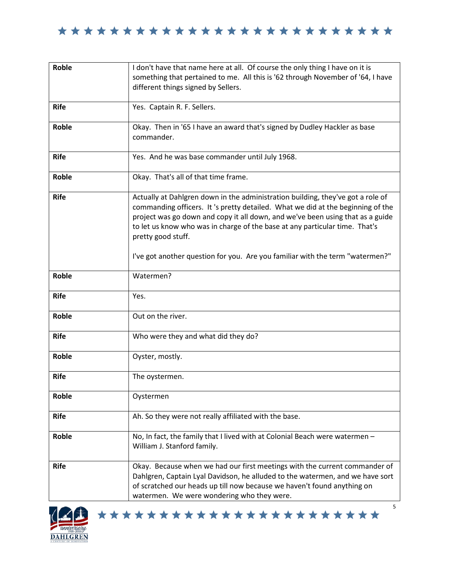

| <b>Roble</b> | I don't have that name here at all. Of course the only thing I have on it is<br>something that pertained to me. All this is '62 through November of '64, I have<br>different things signed by Sellers.                                                                                                                                                                                                                                     |
|--------------|--------------------------------------------------------------------------------------------------------------------------------------------------------------------------------------------------------------------------------------------------------------------------------------------------------------------------------------------------------------------------------------------------------------------------------------------|
| <b>Rife</b>  | Yes. Captain R. F. Sellers.                                                                                                                                                                                                                                                                                                                                                                                                                |
| <b>Roble</b> | Okay. Then in '65 I have an award that's signed by Dudley Hackler as base<br>commander.                                                                                                                                                                                                                                                                                                                                                    |
| <b>Rife</b>  | Yes. And he was base commander until July 1968.                                                                                                                                                                                                                                                                                                                                                                                            |
| <b>Roble</b> | Okay. That's all of that time frame.                                                                                                                                                                                                                                                                                                                                                                                                       |
| <b>Rife</b>  | Actually at Dahlgren down in the administration building, they've got a role of<br>commanding officers. It 's pretty detailed. What we did at the beginning of the<br>project was go down and copy it all down, and we've been using that as a guide<br>to let us know who was in charge of the base at any particular time. That's<br>pretty good stuff.<br>I've got another question for you. Are you familiar with the term "watermen?" |
| <b>Roble</b> | Watermen?                                                                                                                                                                                                                                                                                                                                                                                                                                  |
| <b>Rife</b>  | Yes.                                                                                                                                                                                                                                                                                                                                                                                                                                       |
| <b>Roble</b> | Out on the river.                                                                                                                                                                                                                                                                                                                                                                                                                          |
| <b>Rife</b>  | Who were they and what did they do?                                                                                                                                                                                                                                                                                                                                                                                                        |
| Roble        | Oyster, mostly.                                                                                                                                                                                                                                                                                                                                                                                                                            |
| <b>Rife</b>  | The oystermen.                                                                                                                                                                                                                                                                                                                                                                                                                             |
| Roble        | Oystermen                                                                                                                                                                                                                                                                                                                                                                                                                                  |
| <b>Rife</b>  | Ah. So they were not really affiliated with the base.                                                                                                                                                                                                                                                                                                                                                                                      |
| <b>Roble</b> | No, In fact, the family that I lived with at Colonial Beach were watermen -<br>William J. Stanford family.                                                                                                                                                                                                                                                                                                                                 |
| <b>Rife</b>  | Okay. Because when we had our first meetings with the current commander of<br>Dahlgren, Captain Lyal Davidson, he alluded to the watermen, and we have sort<br>of scratched our heads up till now because we haven't found anything on<br>watermen. We were wondering who they were.                                                                                                                                                       |



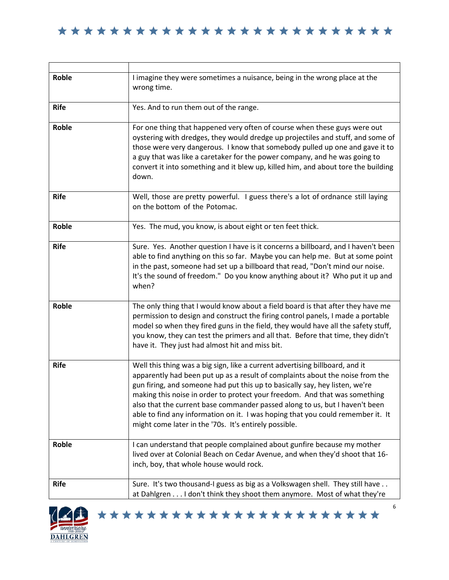| Roble       | I imagine they were sometimes a nuisance, being in the wrong place at the<br>wrong time.                                                                                                                                                                                                                                                                                                                                                                                                                                                              |
|-------------|-------------------------------------------------------------------------------------------------------------------------------------------------------------------------------------------------------------------------------------------------------------------------------------------------------------------------------------------------------------------------------------------------------------------------------------------------------------------------------------------------------------------------------------------------------|
| <b>Rife</b> | Yes. And to run them out of the range.                                                                                                                                                                                                                                                                                                                                                                                                                                                                                                                |
| Roble       | For one thing that happened very often of course when these guys were out<br>oystering with dredges, they would dredge up projectiles and stuff, and some of<br>those were very dangerous. I know that somebody pulled up one and gave it to<br>a guy that was like a caretaker for the power company, and he was going to<br>convert it into something and it blew up, killed him, and about tore the building<br>down.                                                                                                                              |
| <b>Rife</b> | Well, those are pretty powerful. I guess there's a lot of ordnance still laying<br>on the bottom of the Potomac.                                                                                                                                                                                                                                                                                                                                                                                                                                      |
| Roble       | Yes. The mud, you know, is about eight or ten feet thick.                                                                                                                                                                                                                                                                                                                                                                                                                                                                                             |
| <b>Rife</b> | Sure. Yes. Another question I have is it concerns a billboard, and I haven't been<br>able to find anything on this so far. Maybe you can help me. But at some point<br>in the past, someone had set up a billboard that read, "Don't mind our noise.<br>It's the sound of freedom." Do you know anything about it? Who put it up and<br>when?                                                                                                                                                                                                         |
| Roble       | The only thing that I would know about a field board is that after they have me<br>permission to design and construct the firing control panels, I made a portable<br>model so when they fired guns in the field, they would have all the safety stuff,<br>you know, they can test the primers and all that. Before that time, they didn't<br>have it. They just had almost hit and miss bit.                                                                                                                                                         |
| <b>Rife</b> | Well this thing was a big sign, like a current advertising billboard, and it<br>apparently had been put up as a result of complaints about the noise from the<br>gun firing, and someone had put this up to basically say, hey listen, we're<br>making this noise in order to protect your freedom. And that was something<br>also that the current base commander passed along to us, but I haven't been<br>able to find any information on it. I was hoping that you could remember it. It<br>might come later in the '70s. It's entirely possible. |
| Roble       | I can understand that people complained about gunfire because my mother<br>lived over at Colonial Beach on Cedar Avenue, and when they'd shoot that 16-<br>inch, boy, that whole house would rock.                                                                                                                                                                                                                                                                                                                                                    |
| <b>Rife</b> | Sure. It's two thousand-I guess as big as a Volkswagen shell. They still have<br>at Dahlgren I don't think they shoot them anymore. Most of what they're                                                                                                                                                                                                                                                                                                                                                                                              |



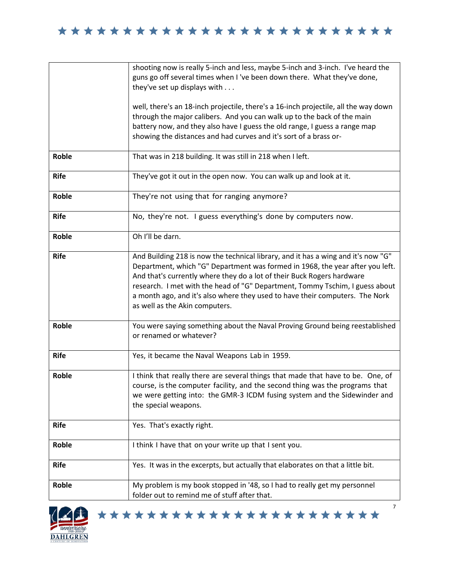|             | shooting now is really 5-inch and less, maybe 5-inch and 3-inch. I've heard the<br>guns go off several times when I 've been down there. What they've done,<br>they've set up displays with                                                                                                                                                                                                                                                    |
|-------------|------------------------------------------------------------------------------------------------------------------------------------------------------------------------------------------------------------------------------------------------------------------------------------------------------------------------------------------------------------------------------------------------------------------------------------------------|
|             | well, there's an 18-inch projectile, there's a 16-inch projectile, all the way down<br>through the major calibers. And you can walk up to the back of the main<br>battery now, and they also have I guess the old range, I guess a range map<br>showing the distances and had curves and it's sort of a brass or-                                                                                                                              |
| Roble       | That was in 218 building. It was still in 218 when I left.                                                                                                                                                                                                                                                                                                                                                                                     |
| <b>Rife</b> | They've got it out in the open now. You can walk up and look at it.                                                                                                                                                                                                                                                                                                                                                                            |
| Roble       | They're not using that for ranging anymore?                                                                                                                                                                                                                                                                                                                                                                                                    |
| <b>Rife</b> | No, they're not. I guess everything's done by computers now.                                                                                                                                                                                                                                                                                                                                                                                   |
| Roble       | Oh I'll be darn.                                                                                                                                                                                                                                                                                                                                                                                                                               |
| <b>Rife</b> | And Building 218 is now the technical library, and it has a wing and it's now "G"<br>Department, which "G" Department was formed in 1968, the year after you left.<br>And that's currently where they do a lot of their Buck Rogers hardware<br>research. I met with the head of "G" Department, Tommy Tschim, I guess about<br>a month ago, and it's also where they used to have their computers. The Nork<br>as well as the Akin computers. |
| Roble       | You were saying something about the Naval Proving Ground being reestablished<br>or renamed or whatever?                                                                                                                                                                                                                                                                                                                                        |
| <b>Rife</b> | Yes, it became the Naval Weapons Lab in 1959.                                                                                                                                                                                                                                                                                                                                                                                                  |
| Roble       | I think that really there are several things that made that have to be. One, of<br>course, is the computer facility, and the second thing was the programs that<br>we were getting into: the GMR-3 ICDM fusing system and the Sidewinder and<br>the special weapons.                                                                                                                                                                           |
| <b>Rife</b> | Yes. That's exactly right.                                                                                                                                                                                                                                                                                                                                                                                                                     |
| Roble       | I think I have that on your write up that I sent you.                                                                                                                                                                                                                                                                                                                                                                                          |
| <b>Rife</b> | Yes. It was in the excerpts, but actually that elaborates on that a little bit.                                                                                                                                                                                                                                                                                                                                                                |
| Roble       | My problem is my book stopped in '48, so I had to really get my personnel<br>folder out to remind me of stuff after that.                                                                                                                                                                                                                                                                                                                      |



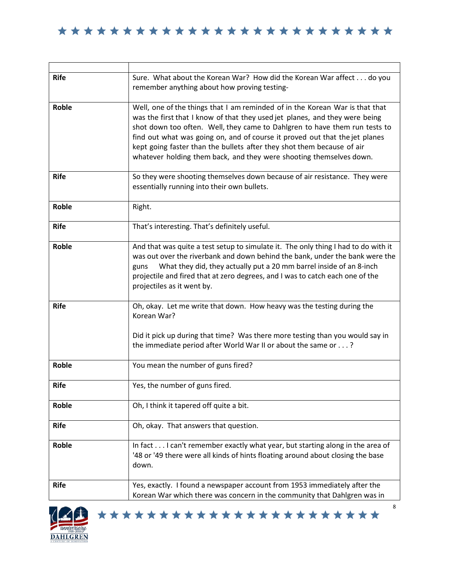| <b>Rife</b>  | Sure. What about the Korean War? How did the Korean War affect do you<br>remember anything about how proving testing-                                                                                                                                                                                                                                                                                                                                                     |
|--------------|---------------------------------------------------------------------------------------------------------------------------------------------------------------------------------------------------------------------------------------------------------------------------------------------------------------------------------------------------------------------------------------------------------------------------------------------------------------------------|
| <b>Roble</b> | Well, one of the things that I am reminded of in the Korean War is that that<br>was the first that I know of that they used jet planes, and they were being<br>shot down too often. Well, they came to Dahlgren to have them run tests to<br>find out what was going on, and of course it proved out that the jet planes<br>kept going faster than the bullets after they shot them because of air<br>whatever holding them back, and they were shooting themselves down. |
| <b>Rife</b>  | So they were shooting themselves down because of air resistance. They were<br>essentially running into their own bullets.                                                                                                                                                                                                                                                                                                                                                 |
| Roble        | Right.                                                                                                                                                                                                                                                                                                                                                                                                                                                                    |
| <b>Rife</b>  | That's interesting. That's definitely useful.                                                                                                                                                                                                                                                                                                                                                                                                                             |
| Roble        | And that was quite a test setup to simulate it. The only thing I had to do with it<br>was out over the riverbank and down behind the bank, under the bank were the<br>What they did, they actually put a 20 mm barrel inside of an 8-inch<br>guns<br>projectile and fired that at zero degrees, and I was to catch each one of the<br>projectiles as it went by.                                                                                                          |
| <b>Rife</b>  | Oh, okay. Let me write that down. How heavy was the testing during the<br>Korean War?<br>Did it pick up during that time? Was there more testing than you would say in<br>the immediate period after World War II or about the same or?                                                                                                                                                                                                                                   |
| Roble        | You mean the number of guns fired?                                                                                                                                                                                                                                                                                                                                                                                                                                        |
| <b>Rife</b>  | Yes, the number of guns fired.                                                                                                                                                                                                                                                                                                                                                                                                                                            |
| <b>Roble</b> | Oh, I think it tapered off quite a bit.                                                                                                                                                                                                                                                                                                                                                                                                                                   |
| <b>Rife</b>  | Oh, okay. That answers that question.                                                                                                                                                                                                                                                                                                                                                                                                                                     |
| Roble        | In fact I can't remember exactly what year, but starting along in the area of<br>'48 or '49 there were all kinds of hints floating around about closing the base<br>down.                                                                                                                                                                                                                                                                                                 |
| <b>Rife</b>  | Yes, exactly. I found a newspaper account from 1953 immediately after the<br>Korean War which there was concern in the community that Dahlgren was in                                                                                                                                                                                                                                                                                                                     |



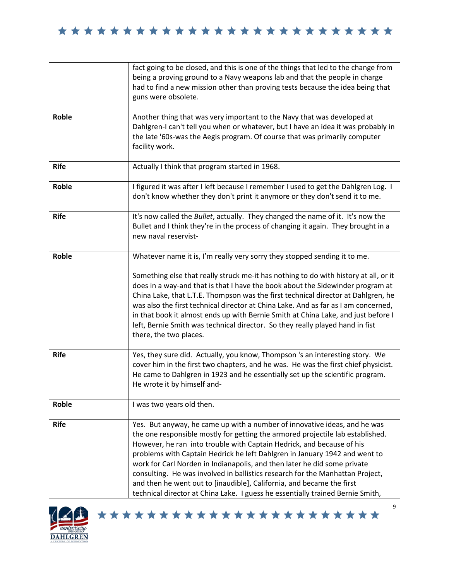|              | fact going to be closed, and this is one of the things that led to the change from<br>being a proving ground to a Navy weapons lab and that the people in charge<br>had to find a new mission other than proving tests because the idea being that<br>guns were obsolete.                                                                                                                                                                                                                                                                                                                                                                  |
|--------------|--------------------------------------------------------------------------------------------------------------------------------------------------------------------------------------------------------------------------------------------------------------------------------------------------------------------------------------------------------------------------------------------------------------------------------------------------------------------------------------------------------------------------------------------------------------------------------------------------------------------------------------------|
| Roble        | Another thing that was very important to the Navy that was developed at<br>Dahlgren-I can't tell you when or whatever, but I have an idea it was probably in<br>the late '60s-was the Aegis program. Of course that was primarily computer<br>facility work.                                                                                                                                                                                                                                                                                                                                                                               |
| <b>Rife</b>  | Actually I think that program started in 1968.                                                                                                                                                                                                                                                                                                                                                                                                                                                                                                                                                                                             |
| Roble        | I figured it was after I left because I remember I used to get the Dahlgren Log. I<br>don't know whether they don't print it anymore or they don't send it to me.                                                                                                                                                                                                                                                                                                                                                                                                                                                                          |
| <b>Rife</b>  | It's now called the Bullet, actually. They changed the name of it. It's now the<br>Bullet and I think they're in the process of changing it again. They brought in a<br>new naval reservist-                                                                                                                                                                                                                                                                                                                                                                                                                                               |
| <b>Roble</b> | Whatever name it is, I'm really very sorry they stopped sending it to me.<br>Something else that really struck me-it has nothing to do with history at all, or it<br>does in a way-and that is that I have the book about the Sidewinder program at<br>China Lake, that L.T.E. Thompson was the first technical director at Dahlgren, he<br>was also the first technical director at China Lake. And as far as I am concerned,<br>in that book it almost ends up with Bernie Smith at China Lake, and just before I<br>left, Bernie Smith was technical director. So they really played hand in fist<br>there, the two places.             |
| <b>Rife</b>  | Yes, they sure did. Actually, you know, Thompson 's an interesting story. We<br>cover him in the first two chapters, and he was. He was the first chief physicist.<br>He came to Dahlgren in 1923 and he essentially set up the scientific program.<br>He wrote it by himself and-                                                                                                                                                                                                                                                                                                                                                         |
| Roble        | I was two years old then.                                                                                                                                                                                                                                                                                                                                                                                                                                                                                                                                                                                                                  |
| <b>Rife</b>  | Yes. But anyway, he came up with a number of innovative ideas, and he was<br>the one responsible mostly for getting the armored projectile lab established.<br>However, he ran into trouble with Captain Hedrick, and because of his<br>problems with Captain Hedrick he left Dahlgren in January 1942 and went to<br>work for Carl Norden in Indianapolis, and then later he did some private<br>consulting. He was involved in ballistics research for the Manhattan Project,<br>and then he went out to [inaudible], California, and became the first<br>technical director at China Lake. I guess he essentially trained Bernie Smith, |



\*\*\*\*\*\*\*\*\*\*\*\*\*\*\*\*\*\*\*\*\*\*\*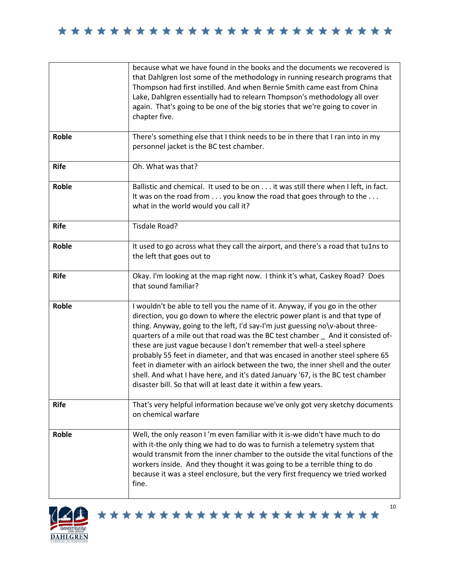|              | because what we have found in the books and the documents we recovered is<br>that Dahlgren lost some of the methodology in running research programs that<br>Thompson had first instilled. And when Bernie Smith came east from China<br>Lake, Dahlgren essentially had to relearn Thompson's methodology all over<br>again. That's going to be one of the big stories that we're going to cover in<br>chapter five.                                                                                                                                                                                                                                                                                                                   |
|--------------|----------------------------------------------------------------------------------------------------------------------------------------------------------------------------------------------------------------------------------------------------------------------------------------------------------------------------------------------------------------------------------------------------------------------------------------------------------------------------------------------------------------------------------------------------------------------------------------------------------------------------------------------------------------------------------------------------------------------------------------|
| Roble        | There's something else that I think needs to be in there that I ran into in my<br>personnel jacket is the BC test chamber.                                                                                                                                                                                                                                                                                                                                                                                                                                                                                                                                                                                                             |
| <b>Rife</b>  | Oh. What was that?                                                                                                                                                                                                                                                                                                                                                                                                                                                                                                                                                                                                                                                                                                                     |
| <b>Roble</b> | Ballistic and chemical. It used to be on it was still there when I left, in fact.<br>It was on the road from you know the road that goes through to the<br>what in the world would you call it?                                                                                                                                                                                                                                                                                                                                                                                                                                                                                                                                        |
| <b>Rife</b>  | Tisdale Road?                                                                                                                                                                                                                                                                                                                                                                                                                                                                                                                                                                                                                                                                                                                          |
| Roble        | It used to go across what they call the airport, and there's a road that tu1ns to<br>the left that goes out to                                                                                                                                                                                                                                                                                                                                                                                                                                                                                                                                                                                                                         |
| <b>Rife</b>  | Okay. I'm looking at the map right now. I think it's what, Caskey Road? Does<br>that sound familiar?                                                                                                                                                                                                                                                                                                                                                                                                                                                                                                                                                                                                                                   |
| <b>Roble</b> | I wouldn't be able to tell you the name of it. Anyway, if you go in the other<br>direction, you go down to where the electric power plant is and that type of<br>thing. Anyway, going to the left, I'd say-I'm just guessing no\v-about three-<br>quarters of a mile out that road was the BC test chamber _ And it consisted of-<br>these are just vague because I don't remember that well-a steel sphere<br>probably 55 feet in diameter, and that was encased in another steel sphere 65<br>feet in diameter with an airlock between the two, the inner shell and the outer<br>shell. And what I have here, and it's dated January '67, is the BC test chamber<br>disaster bill. So that will at least date it within a few years. |
| <b>Rife</b>  | That's very helpful information because we've only got very sketchy documents<br>on chemical warfare                                                                                                                                                                                                                                                                                                                                                                                                                                                                                                                                                                                                                                   |
| Roble        | Well, the only reason I'm even familiar with it is-we didn't have much to do<br>with it-the only thing we had to do was to furnish a telemetry system that<br>would transmit from the inner chamber to the outside the vital functions of the<br>workers inside. And they thought it was going to be a terrible thing to do<br>because it was a steel enclosure, but the very first frequency we tried worked<br>fine.                                                                                                                                                                                                                                                                                                                 |



\*\*\*\*\*\*\*\*\*\*\*\*\*\*\*\*\*\*\*\*\*\*\*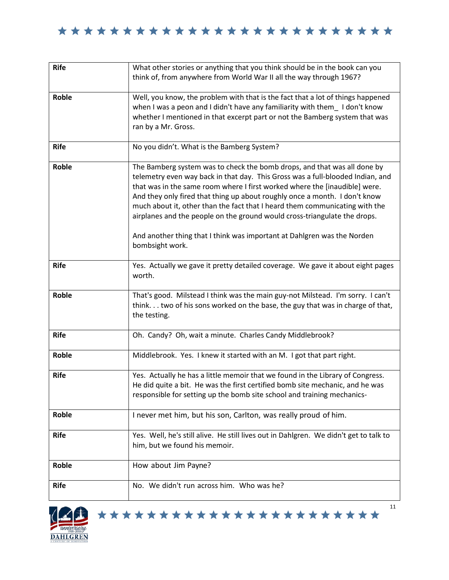| <b>Rife</b>  | What other stories or anything that you think should be in the book can you<br>think of, from anywhere from World War II all the way through 1967?                                                                                                                                                                                                                                                                                                                                                                                                                               |
|--------------|----------------------------------------------------------------------------------------------------------------------------------------------------------------------------------------------------------------------------------------------------------------------------------------------------------------------------------------------------------------------------------------------------------------------------------------------------------------------------------------------------------------------------------------------------------------------------------|
| Roble        | Well, you know, the problem with that is the fact that a lot of things happened<br>when I was a peon and I didn't have any familiarity with them_ I don't know<br>whether I mentioned in that excerpt part or not the Bamberg system that was<br>ran by a Mr. Gross.                                                                                                                                                                                                                                                                                                             |
| <b>Rife</b>  | No you didn't. What is the Bamberg System?                                                                                                                                                                                                                                                                                                                                                                                                                                                                                                                                       |
| Roble        | The Bamberg system was to check the bomb drops, and that was all done by<br>telemetry even way back in that day. This Gross was a full-blooded Indian, and<br>that was in the same room where I first worked where the [inaudible] were.<br>And they only fired that thing up about roughly once a month. I don't know<br>much about it, other than the fact that I heard them communicating with the<br>airplanes and the people on the ground would cross-triangulate the drops.<br>And another thing that I think was important at Dahlgren was the Norden<br>bombsight work. |
| <b>Rife</b>  | Yes. Actually we gave it pretty detailed coverage. We gave it about eight pages<br>worth.                                                                                                                                                                                                                                                                                                                                                                                                                                                                                        |
| <b>Roble</b> | That's good. Milstead I think was the main guy-not Milstead. I'm sorry. I can't<br>think. two of his sons worked on the base, the guy that was in charge of that,<br>the testing.                                                                                                                                                                                                                                                                                                                                                                                                |
| <b>Rife</b>  | Oh. Candy? Oh, wait a minute. Charles Candy Middlebrook?                                                                                                                                                                                                                                                                                                                                                                                                                                                                                                                         |
| Roble        | Middlebrook. Yes. I knew it started with an M. I got that part right.                                                                                                                                                                                                                                                                                                                                                                                                                                                                                                            |
| <b>Rife</b>  | Yes. Actually he has a little memoir that we found in the Library of Congress.<br>He did quite a bit. He was the first certified bomb site mechanic, and he was<br>responsible for setting up the bomb site school and training mechanics-                                                                                                                                                                                                                                                                                                                                       |
| Roble        | I never met him, but his son, Carlton, was really proud of him.                                                                                                                                                                                                                                                                                                                                                                                                                                                                                                                  |
| <b>Rife</b>  | Yes. Well, he's still alive. He still lives out in Dahlgren. We didn't get to talk to<br>him, but we found his memoir.                                                                                                                                                                                                                                                                                                                                                                                                                                                           |
| Roble        | How about Jim Payne?                                                                                                                                                                                                                                                                                                                                                                                                                                                                                                                                                             |
| <b>Rife</b>  | No. We didn't run across him. Who was he?                                                                                                                                                                                                                                                                                                                                                                                                                                                                                                                                        |



11 \*\*\*\*\*\*\*\*\*\*\*\*\*\*\*\*\*\*\*\*\*\*\*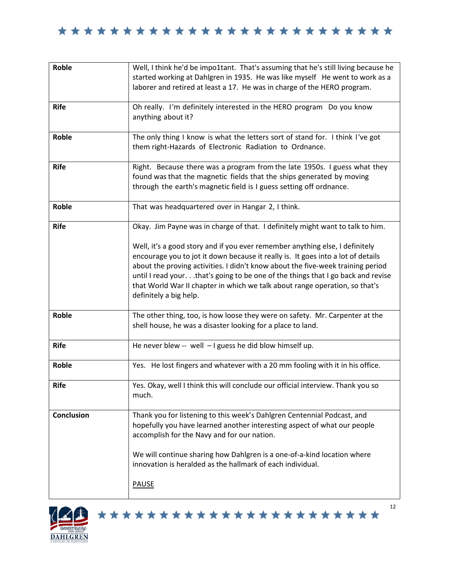| Roble             | Well, I think he'd be impo1tant. That's assuming that he's still living because he<br>started working at Dahlgren in 1935. He was like myself He went to work as a<br>laborer and retired at least a 17. He was in charge of the HERO program.                                                                                                                                                                                                   |
|-------------------|--------------------------------------------------------------------------------------------------------------------------------------------------------------------------------------------------------------------------------------------------------------------------------------------------------------------------------------------------------------------------------------------------------------------------------------------------|
| <b>Rife</b>       | Oh really. I'm definitely interested in the HERO program Do you know<br>anything about it?                                                                                                                                                                                                                                                                                                                                                       |
| Roble             | The only thing I know is what the letters sort of stand for. I think I've got<br>them right-Hazards of Electronic Radiation to Ordnance.                                                                                                                                                                                                                                                                                                         |
| <b>Rife</b>       | Right. Because there was a program from the late 1950s. I guess what they<br>found was that the magnetic fields that the ships generated by moving<br>through the earth's magnetic field is I guess setting off ordnance.                                                                                                                                                                                                                        |
| Roble             | That was headquartered over in Hangar 2, I think.                                                                                                                                                                                                                                                                                                                                                                                                |
| <b>Rife</b>       | Okay. Jim Payne was in charge of that. I definitely might want to talk to him.                                                                                                                                                                                                                                                                                                                                                                   |
|                   | Well, it's a good story and if you ever remember anything else, I definitely<br>encourage you to jot it down because it really is. It goes into a lot of details<br>about the proving activities. I didn't know about the five-week training period<br>until I read your.that's going to be one of the things that I go back and revise<br>that World War II chapter in which we talk about range operation, so that's<br>definitely a big help. |
| Roble             | The other thing, too, is how loose they were on safety. Mr. Carpenter at the<br>shell house, he was a disaster looking for a place to land.                                                                                                                                                                                                                                                                                                      |
| <b>Rife</b>       | He never blew -- well $-1$ guess he did blow himself up.                                                                                                                                                                                                                                                                                                                                                                                         |
| Roble             | Yes. He lost fingers and whatever with a 20 mm fooling with it in his office.                                                                                                                                                                                                                                                                                                                                                                    |
| <b>Rife</b>       | Yes. Okay, well I think this will conclude our official interview. Thank you so<br>much.                                                                                                                                                                                                                                                                                                                                                         |
| <b>Conclusion</b> | Thank you for listening to this week's Dahlgren Centennial Podcast, and<br>hopefully you have learned another interesting aspect of what our people<br>accomplish for the Navy and for our nation.<br>We will continue sharing how Dahlgren is a one-of-a-kind location where<br>innovation is heralded as the hallmark of each individual.<br><b>PAUSE</b>                                                                                      |